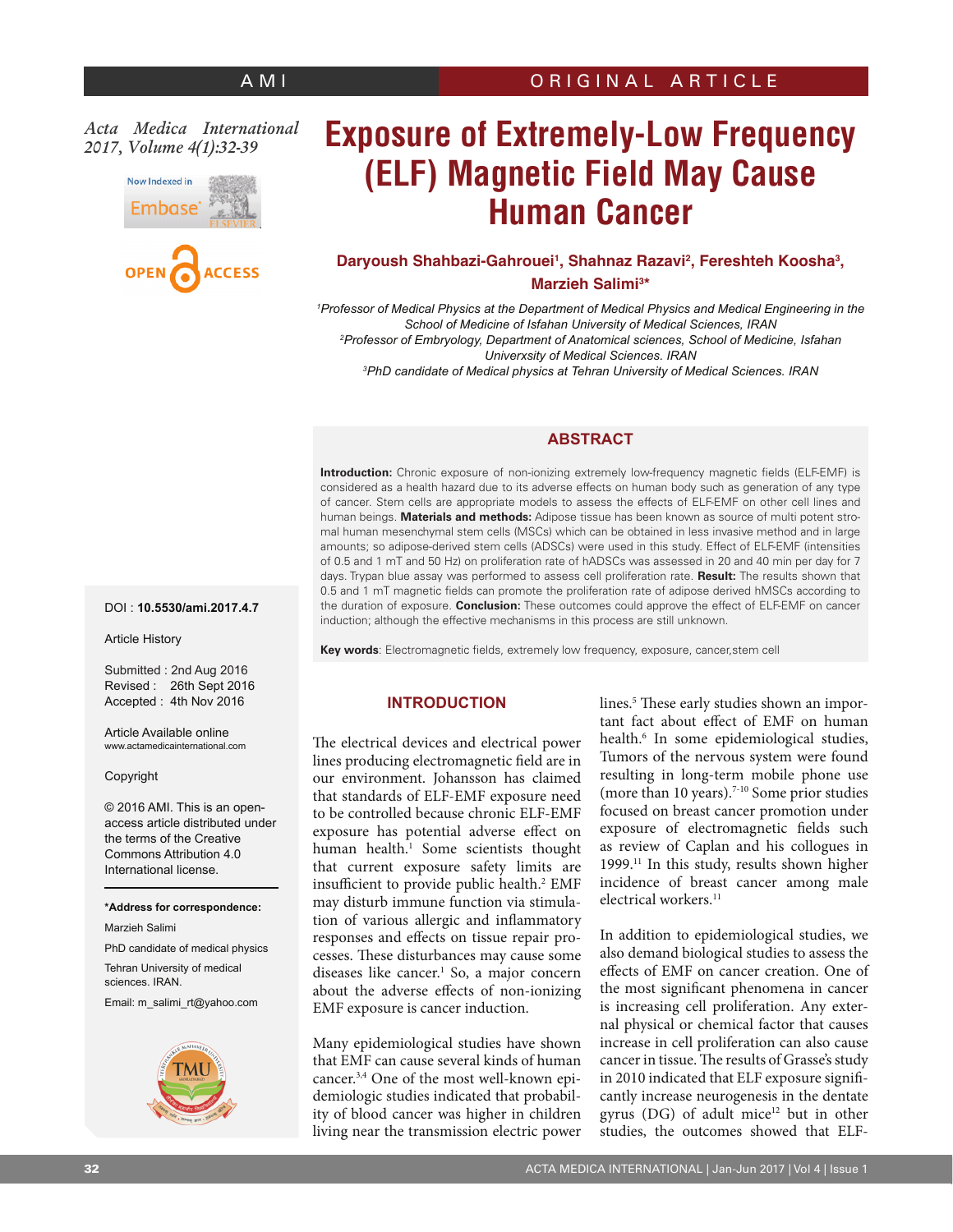# *Acta Medica International 2017, Volume 4(1):32-39*



# **Exposure of Extremely-Low Frequency (ELF) Magnetic Field May Cause Human Cancer**

# Daryoush Shahbazi-Gahrouei<sup>1</sup>, Shahnaz Razavi<sup>2</sup>, Fereshteh Koosha<sup>3</sup>, **Marzieh Salimi3 \***

*1 Professor of Medical Physics at the Department of Medical Physics and Medical Engineering in the School of Medicine of Isfahan University of Medical Sciences, IRAN 2 Professor of Embryology, Department of Anatomical sciences, School of Medicine, Isfahan Univerxsity of Medical Sciences. IRAN 3 PhD candidate of Medical physics at Tehran University of Medical Sciences. IRAN*

# **ABSTRACT**

**Introduction:** Chronic exposure of non-ionizing extremely low-frequency magnetic fields (ELF-EMF) is considered as a health hazard due to its adverse effects on human body such as generation of any type of cancer. Stem cells are appropriate models to assess the effects of ELF-EMF on other cell lines and human beings. **Materials and methods:** Adipose tissue has been known as source of multi potent stromal human mesenchymal stem cells (MSCs) which can be obtained in less invasive method and in large amounts; so adipose-derived stem cells (ADSCs) were used in this study. Effect of ELF-EMF (intensities of 0.5 and 1 mT and 50 Hz) on proliferation rate of hADSCs was assessed in 20 and 40 min per day for 7 days. Trypan blue assay was performed to assess cell proliferation rate. **Result:** The results shown that 0.5 and 1 mT magnetic fields can promote the proliferation rate of adipose derived hMSCs according to the duration of exposure. **Conclusion:** These outcomes could approve the effect of ELF-EMF on cancer induction; although the effective mechanisms in this process are still unknown.

DOI : **10.5530/ami.2017.4.7**

Article History

Submitted : 2nd Aug 2016 Revised : 26th Sept 2016 Accepted : 4th Nov 2016

Article Available online www.actamedicainternational.com

#### Copyright

© 2016 AMI. This is an openaccess article distributed under the terms of the Creative Commons Attribution 4.0 International license.

#### **\*Address for correspondence:**

Marzieh Salimi

PhD candidate of medical physics Tehran University of medical sciences. IRAN.

Email: m\_salimi\_rt@yahoo.com



**Key words**: Electromagnetic fields, extremely low frequency, exposure, cancer,stem cell

#### **INTRODUCTION**

The electrical devices and electrical power lines producing electromagnetic field are in our environment. Johansson has claimed that standards of ELF-EMF exposure need to be controlled because chronic ELF-EMF exposure has potential adverse effect on human health.<sup>1</sup> Some scientists thought that current exposure safety limits are insufficient to provide public health.<sup>2</sup> EMF may disturb immune function via stimulation of various allergic and inflammatory responses and effects on tissue repair processes. These disturbances may cause some diseases like cancer.1 So, a major concern about the adverse effects of non-ionizing EMF exposure is cancer induction.

Many epidemiological studies have shown that EMF can cause several kinds of human cancer.3,4 One of the most well-known epidemiologic studies indicated that probability of blood cancer was higher in children living near the transmission electric power

lines.5 These early studies shown an important fact about effect of EMF on human health.6 In some epidemiological studies, Tumors of the nervous system were found resulting in long-term mobile phone use (more than 10 years).7-10 Some prior studies focused on breast cancer promotion under exposure of electromagnetic fields such as review of Caplan and his collogues in 1999.11 In this study, results shown higher incidence of breast cancer among male electrical workers.<sup>11</sup>

In addition to epidemiological studies, we also demand biological studies to assess the effects of EMF on cancer creation. One of the most significant phenomena in cancer is increasing cell proliferation. Any external physical or chemical factor that causes increase in cell proliferation can also cause cancer in tissue. The results of Grasse's study in 2010 indicated that ELF exposure significantly increase neurogenesis in the dentate gyrus (DG) of adult mice<sup>12</sup> but in other studies, the outcomes showed that ELF-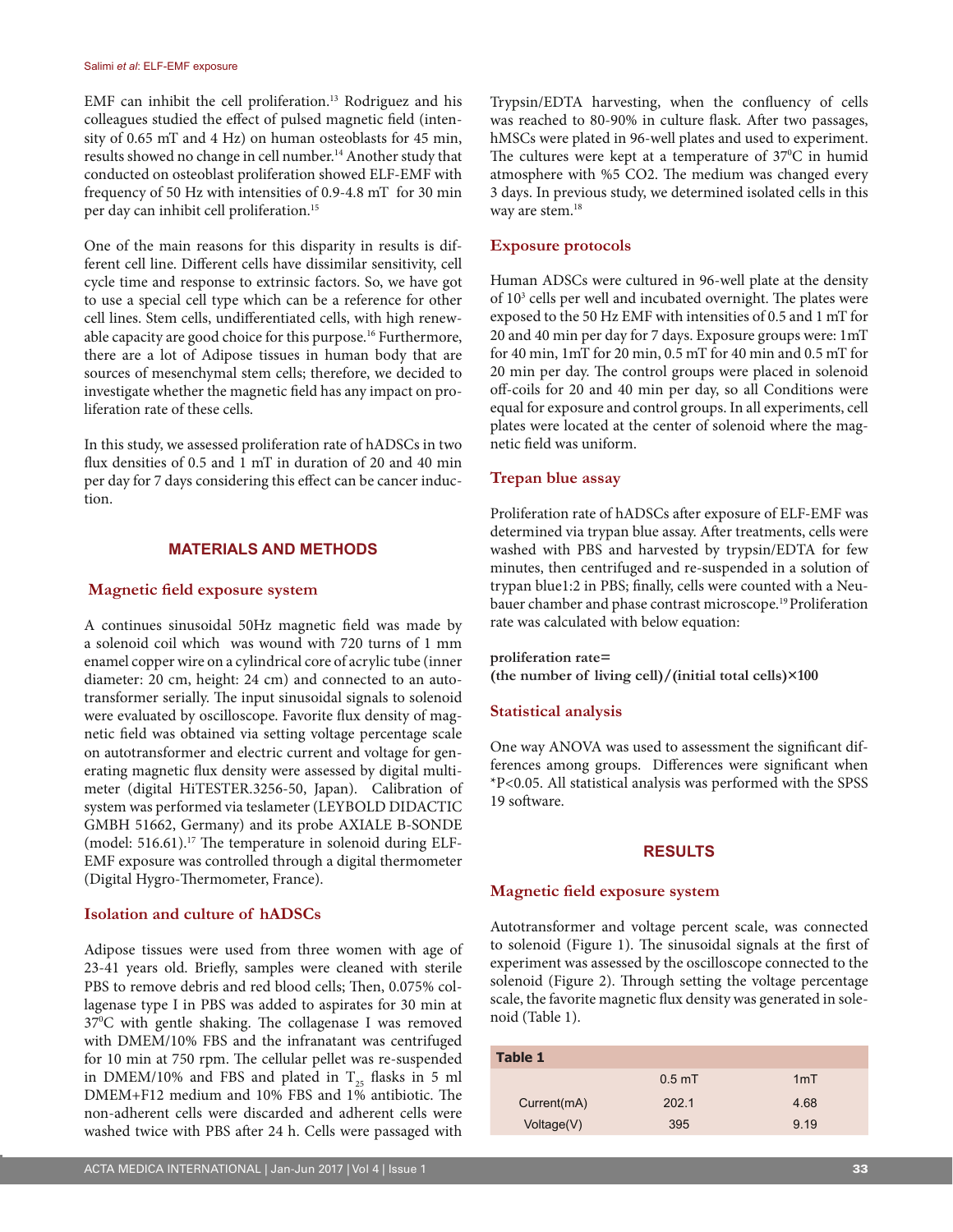EMF can inhibit the cell proliferation.<sup>13</sup> Rodriguez and his colleagues studied the effect of pulsed magnetic field (intensity of 0.65 mT and 4 Hz) on human osteoblasts for 45 min, results showed no change in cell number.<sup>14</sup> Another study that conducted on osteoblast proliferation showed ELF-EMF with frequency of 50 Hz with intensities of 0.9-4.8 mT for 30 min per day can inhibit cell proliferation.15

One of the main reasons for this disparity in results is different cell line. Different cells have dissimilar sensitivity, cell cycle time and response to extrinsic factors. So, we have got to use a special cell type which can be a reference for other cell lines. Stem cells, undifferentiated cells, with high renewable capacity are good choice for this purpose.<sup>16</sup> Furthermore, there are a lot of Adipose tissues in human body that are sources of mesenchymal stem cells; therefore, we decided to investigate whether the magnetic field has any impact on proliferation rate of these cells.

In this study, we assessed proliferation rate of hADSCs in two flux densities of 0.5 and 1 mT in duration of 20 and 40 min per day for 7 days considering this effect can be cancer induction.

### **MATERIALS AND METHODS**

#### **Magnetic field exposure system**

A continues sinusoidal 50Hz magnetic field was made by a solenoid coil which was wound with 720 turns of 1 mm enamel copper wire on a cylindrical core of acrylic tube (inner diameter: 20 cm, height: 24 cm) and connected to an autotransformer serially. The input sinusoidal signals to solenoid were evaluated by oscilloscope. Favorite flux density of magnetic field was obtained via setting voltage percentage scale on autotransformer and electric current and voltage for generating magnetic flux density were assessed by digital multimeter (digital HiTESTER.3256-50, Japan). Calibration of system was performed via teslameter (LEYBOLD DIDACTIC GMBH 51662, Germany) and its probe AXIALE B-SONDE (model: 516.61).<sup>17</sup> The temperature in solenoid during ELF-EMF exposure was controlled through a digital thermometer (Digital Hygro-Thermometer, France).

### **Isolation and culture of hADSCs**

Adipose tissues were used from three women with age of 23-41 years old. Briefly, samples were cleaned with sterile PBS to remove debris and red blood cells; Then, 0.075% collagenase type I in PBS was added to aspirates for 30 min at 370 C with gentle shaking. The collagenase I was removed with DMEM/10% FBS and the infranatant was centrifuged for 10 min at 750 rpm. The cellular pellet was re-suspended in DMEM/10% and FBS and plated in  $T_{25}$  flasks in 5 ml DMEM+F12 medium and 10% FBS and 1% antibiotic. The non-adherent cells were discarded and adherent cells were washed twice with PBS after 24 h. Cells were passaged with

Trypsin/EDTA harvesting, when the confluency of cells was reached to 80-90% in culture flask. After two passages, hMSCs were plated in 96-well plates and used to experiment. The cultures were kept at a temperature of  $37^{\circ}$ C in humid atmosphere with %5 CO2. The medium was changed every 3 days. In previous study, we determined isolated cells in this way are stem.<sup>18</sup>

#### **Exposure protocols**

Human ADSCs were cultured in 96-well plate at the density of 103 cells per well and incubated overnight. The plates were exposed to the 50 Hz EMF with intensities of 0.5 and 1 mT for 20 and 40 min per day for 7 days. Exposure groups were: 1mT for 40 min, 1mT for 20 min, 0.5 mT for 40 min and 0.5 mT for 20 min per day. The control groups were placed in solenoid off-coils for 20 and 40 min per day, so all Conditions were equal for exposure and control groups. In all experiments, cell plates were located at the center of solenoid where the magnetic field was uniform.

#### **Trepan blue assay**

Proliferation rate of hADSCs after exposure of ELF-EMF was determined via trypan blue assay. After treatments, cells were washed with PBS and harvested by trypsin/EDTA for few minutes, then centrifuged and re-suspended in a solution of trypan blue1:2 in PBS; finally, cells were counted with a Neubauer chamber and phase contrast microscope.19 Proliferation rate was calculated with below equation:

**proliferation rate= (the number of living cell)/(initial total cells)×100**

#### **Statistical analysis**

One way ANOVA was used to assessment the significant differences among groups. Differences were significant when \*P<0.05. All statistical analysis was performed with the SPSS 19 software.

#### **RESULTS**

#### **Magnetic field exposure system**

Autotransformer and voltage percent scale, was connected to solenoid (Figure 1). The sinusoidal signals at the first of experiment was assessed by the oscilloscope connected to the solenoid (Figure 2). Through setting the voltage percentage scale, the favorite magnetic flux density was generated in solenoid (Table 1).

| <b>Table 1</b> |                   |      |
|----------------|-------------------|------|
|                | 0.5 <sub>mT</sub> | 1mT  |
| Current(mA)    | 202.1             | 4.68 |
| Voltage(V)     | 395               | 9.19 |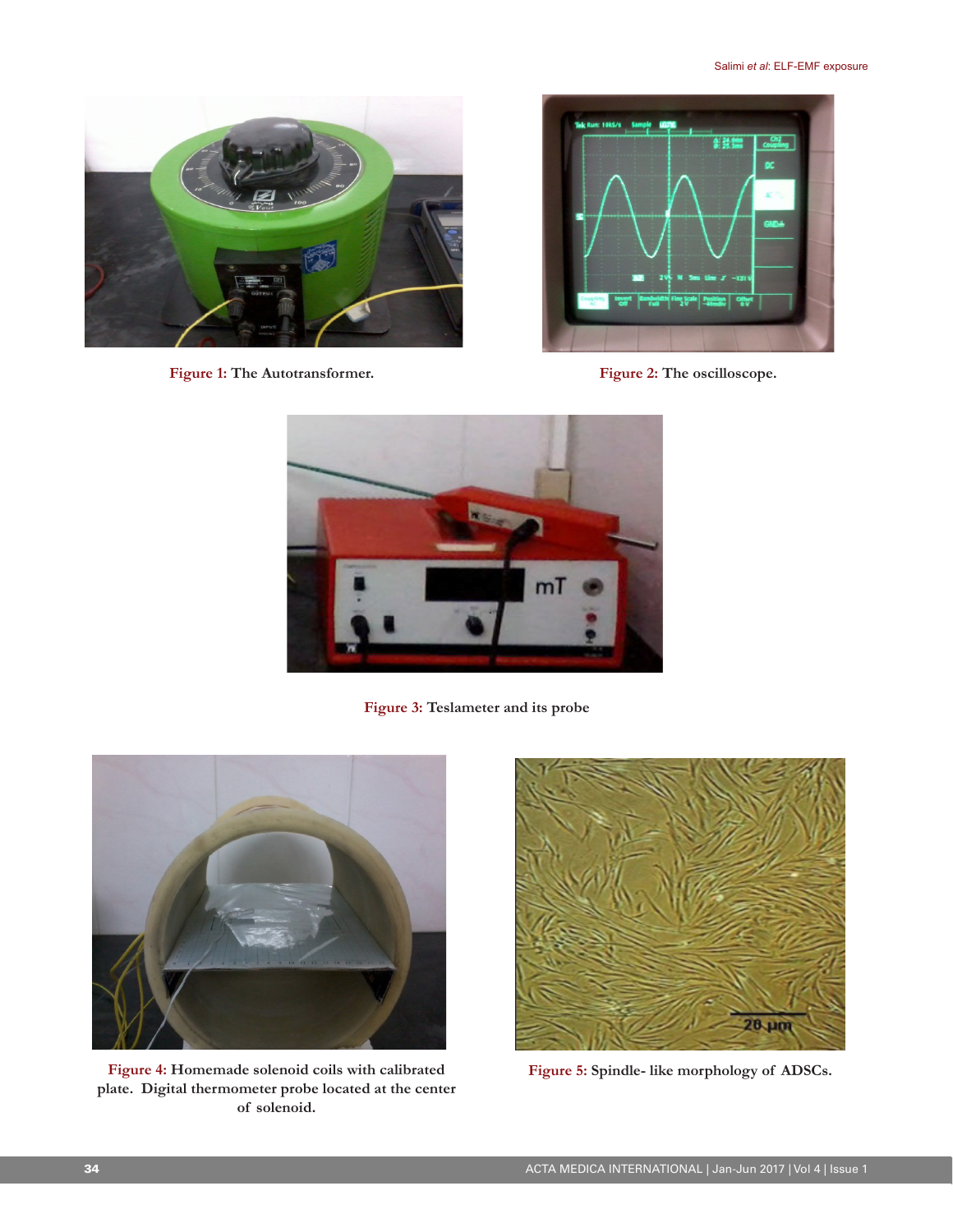

**Figure 1: The Autotransformer. Figure 2: The oscilloscope.**





**Figure 3: Teslameter and its probe**



**Figure 4: Homemade solenoid coils with calibrated plate. Digital thermometer probe located at the center of solenoid.**



**Figure 5: Spindle- like morphology of ADSCs.**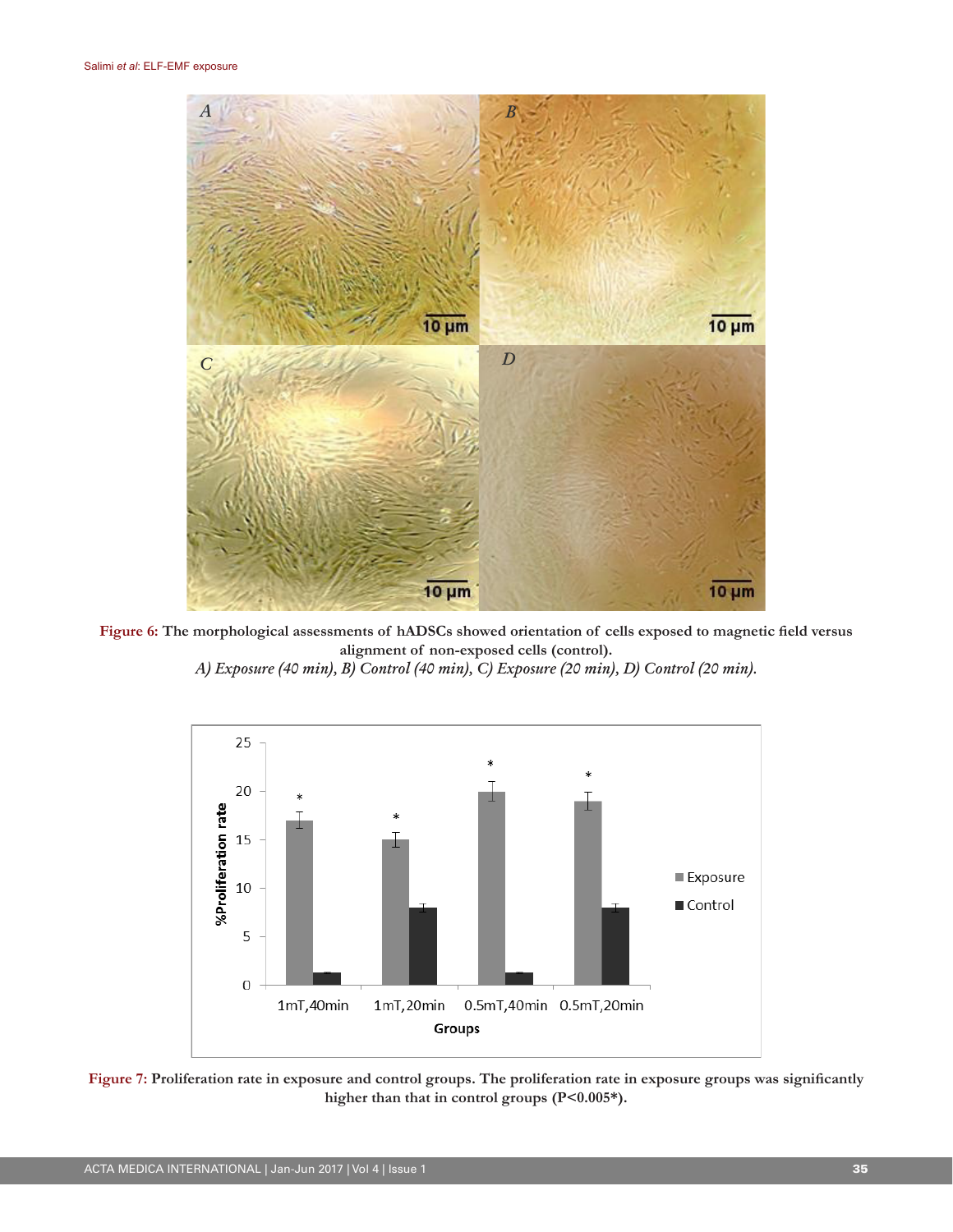

**Figure 6: The morphological assessments of hADSCs showed orientation of cells exposed to magnetic field versus alignment of non-exposed cells (control).**

*A) Exposure (40 min), B) Control (40 min), C) Exposure (20 min), D) Control (20 min).*



**Figure 7: Proliferation rate in exposure and control groups. The proliferation rate in exposure groups was significantly**  higher than that in control groups (P<0.005\*).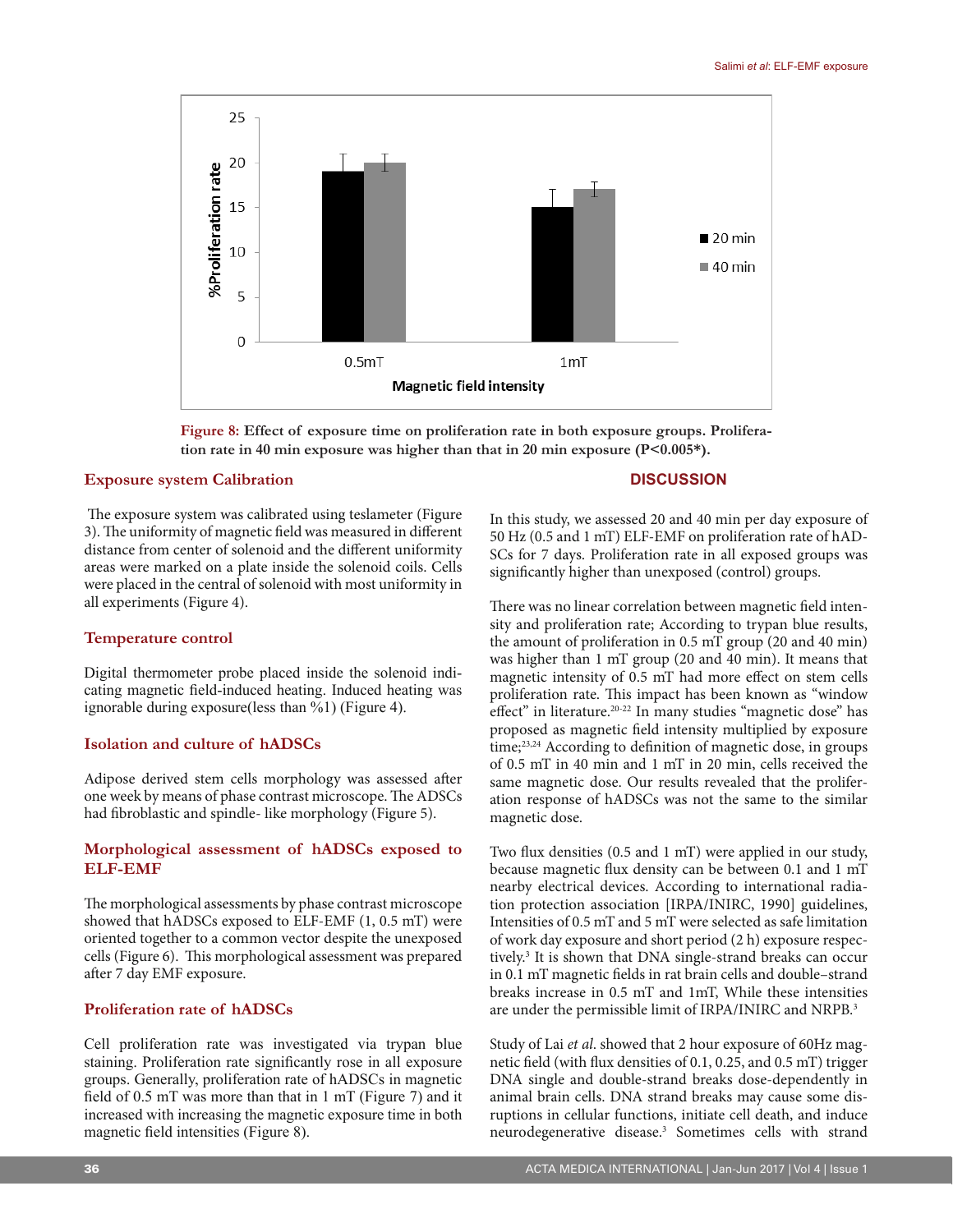

**Figure 8: Effect of exposure time on proliferation rate in both exposure groups. Proliferation rate in 40 min exposure was higher than that in 20 min exposure (P<0.005\*).**

### **Exposure system Calibration**

 The exposure system was calibrated using teslameter (Figure 3). The uniformity of magnetic field was measured in different distance from center of solenoid and the different uniformity areas were marked on a plate inside the solenoid coils. Cells were placed in the central of solenoid with most uniformity in all experiments (Figure 4).

#### **Temperature control**

Digital thermometer probe placed inside the solenoid indicating magnetic field-induced heating. Induced heating was ignorable during exposure(less than %1) (Figure 4).

### **Isolation and culture of hADSCs**

Adipose derived stem cells morphology was assessed after one week by means of phase contrast microscope. The ADSCs had fibroblastic and spindle- like morphology (Figure 5).

### **Morphological assessment of hADSCs exposed to ELF-EMF**

The morphological assessments by phase contrast microscope showed that hADSCs exposed to ELF-EMF (1, 0.5 mT) were oriented together to a common vector despite the unexposed cells (Figure 6). This morphological assessment was prepared after 7 day EMF exposure.

## **Proliferation rate of hADSCs**

Cell proliferation rate was investigated via trypan blue staining. Proliferation rate significantly rose in all exposure groups. Generally, proliferation rate of hADSCs in magnetic field of 0.5 mT was more than that in 1 mT (Figure 7) and it increased with increasing the magnetic exposure time in both magnetic field intensities (Figure 8).

#### **DISCUSSION**

In this study, we assessed 20 and 40 min per day exposure of 50 Hz (0.5 and 1 mT) ELF-EMF on proliferation rate of hAD-SCs for 7 days. Proliferation rate in all exposed groups was significantly higher than unexposed (control) groups.

There was no linear correlation between magnetic field intensity and proliferation rate; According to trypan blue results, the amount of proliferation in 0.5 mT group (20 and 40 min) was higher than 1 mT group (20 and 40 min). It means that magnetic intensity of 0.5 mT had more effect on stem cells proliferation rate. This impact has been known as "window effect" in literature.<sup>20-22</sup> In many studies "magnetic dose" has proposed as magnetic field intensity multiplied by exposure time;<sup>23,24</sup> According to definition of magnetic dose, in groups of 0.5 mT in 40 min and 1 mT in 20 min, cells received the same magnetic dose. Our results revealed that the proliferation response of hADSCs was not the same to the similar magnetic dose.

Two flux densities (0.5 and 1 mT) were applied in our study, because magnetic flux density can be between 0.1 and 1 mT nearby electrical devices. According to international radiation protection association [IRPA/INIRC, 1990] guidelines, Intensities of 0.5 mT and 5 mT were selected as safe limitation of work day exposure and short period (2 h) exposure respectively.3 It is shown that DNA single-strand breaks can occur in 0.1 mT magnetic fields in rat brain cells and double–strand breaks increase in 0.5 mT and 1mT, While these intensities are under the permissible limit of IRPA/INIRC and NRPB.<sup>3</sup>

Study of Lai *et al*. showed that 2 hour exposure of 60Hz magnetic field (with flux densities of 0.1, 0.25, and 0.5 mT) trigger DNA single and double-strand breaks dose-dependently in animal brain cells. DNA strand breaks may cause some disruptions in cellular functions, initiate cell death, and induce neurodegenerative disease.3 Sometimes cells with strand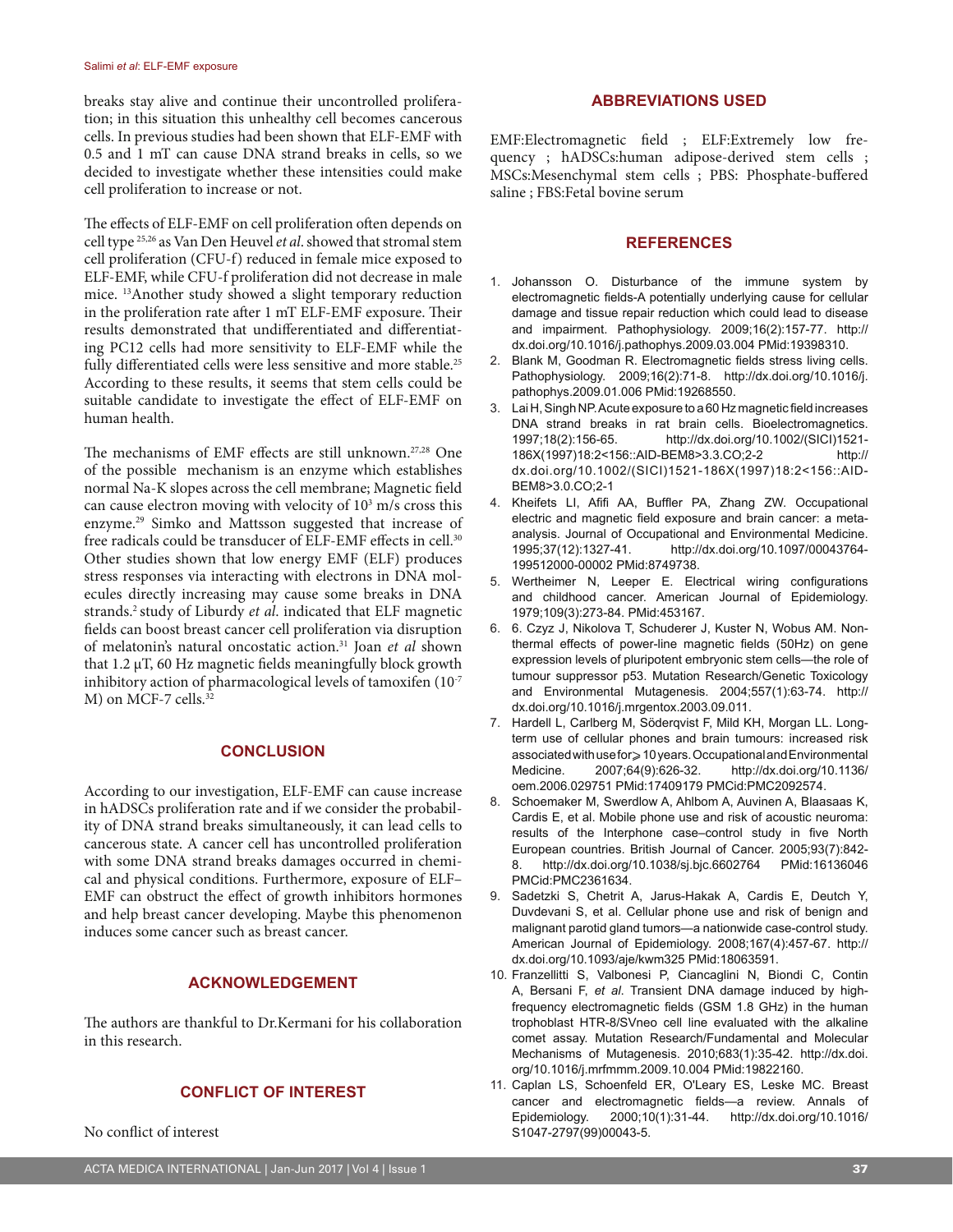breaks stay alive and continue their uncontrolled proliferation; in this situation this unhealthy cell becomes cancerous cells. In previous studies had been shown that ELF-EMF with 0.5 and 1 mT can cause DNA strand breaks in cells, so we decided to investigate whether these intensities could make cell proliferation to increase or not.

The effects of ELF-EMF on cell proliferation often depends on cell type 25,26 as Van Den Heuvel *et al*. showed that stromal stem cell proliferation (CFU-f) reduced in female mice exposed to ELF-EMF, while CFU-f proliferation did not decrease in male mice. 13Another study showed a slight temporary reduction in the proliferation rate after 1 mT ELF-EMF exposure. Their results demonstrated that undifferentiated and differentiating PC12 cells had more sensitivity to ELF-EMF while the fully differentiated cells were less sensitive and more stable.<sup>25</sup> According to these results, it seems that stem cells could be suitable candidate to investigate the effect of ELF-EMF on human health.

The mechanisms of EMF effects are still unknown.27,28 One of the possible mechanism is an enzyme which establishes normal Na-K slopes across the cell membrane; Magnetic field can cause electron moving with velocity of  $10<sup>3</sup>$  m/s cross this enzyme.29 Simko and Mattsson suggested that increase of free radicals could be transducer of ELF-EMF effects in cell.<sup>30</sup> Other studies shown that low energy EMF (ELF) produces stress responses via interacting with electrons in DNA molecules directly increasing may cause some breaks in DNA strands.2 study of Liburdy *et al*. indicated that ELF magnetic fields can boost breast cancer cell proliferation via disruption of melatonin's natural oncostatic action.31 Joan *et al* shown that 1.2 µT, 60 Hz magnetic fields meaningfully block growth inhibitory action of pharmacological levels of tamoxifen (10-7 M) on MCF-7 cells.<sup>32</sup>

#### **CONCLUSION**

According to our investigation, ELF-EMF can cause increase in hADSCs proliferation rate and if we consider the probability of DNA strand breaks simultaneously, it can lead cells to cancerous state. A cancer cell has uncontrolled proliferation with some DNA strand breaks damages occurred in chemical and physical conditions. Furthermore, exposure of ELF– EMF can obstruct the effect of growth inhibitors hormones and help breast cancer developing. Maybe this phenomenon induces some cancer such as breast cancer.

# **ACKNOWLEDGEMENT**

The authors are thankful to Dr.Kermani for his collaboration in this research.

#### **CONFLICT OF INTEREST**

No conflict of interest

#### **ABBREVIATIONS USED**

EMF:Electromagnetic field ; ELF:Extremely low frequency ; hADSCs:human adipose-derived stem cells ; MSCs:Mesenchymal stem cells ; PBS: Phosphate-buffered saline ; FBS:Fetal bovine serum

#### **REFERENCES**

- 1. Johansson O. Disturbance of the immune system by electromagnetic fields-A potentially underlying cause for cellular damage and tissue repair reduction which could lead to disease and impairment. Pathophysiology. 2009;16(2):157-77. http:// dx.doi.org/10.1016/j.pathophys.2009.03.004 PMid:19398310.
- 2. Blank M, Goodman R. Electromagnetic fields stress living cells. Pathophysiology. 2009;16(2):71-8. http://dx.doi.org/10.1016/j. pathophys.2009.01.006 PMid:19268550.
- 3. Lai H, Singh NP. Acute exposure to a 60 Hz magnetic field increases DNA strand breaks in rat brain cells. Bioelectromagnetics. 1997;18(2):156-65. http://dx.doi.org/10.1002/(SICI)1521- 186X(1997)18:2<156::AID-BEM8>3.3.CO;2-2 http:// dx.doi.org/10.1002/(SICI)1521-186X(1997)18:2<156::AID-BEM8>3.0.CO;2-1
- 4. Kheifets LI, Afifi AA, Buffler PA, Zhang ZW. Occupational electric and magnetic field exposure and brain cancer: a metaanalysis. Journal of Occupational and Environmental Medicine. 1995;37(12):1327-41. http://dx.doi.org/10.1097/00043764- 199512000-00002 PMid:8749738.
- 5. Wertheimer N, Leeper E. Electrical wiring configurations and childhood cancer. American Journal of Epidemiology. 1979;109(3):273-84. PMid:453167.
- 6. 6. Czyz J, Nikolova T, Schuderer J, Kuster N, Wobus AM. Nonthermal effects of power-line magnetic fields (50Hz) on gene expression levels of pluripotent embryonic stem cells—the role of tumour suppressor p53. Mutation Research/Genetic Toxicology and Environmental Mutagenesis. 2004;557(1):63-74. http:// dx.doi.org/10.1016/j.mrgentox.2003.09.011.
- 7. Hardell L, Carlberg M, Söderqvist F, Mild KH, Morgan LL. Longterm use of cellular phones and brain tumours: increased risk associated with use for ≥ 10 years. Occupational and Environmental<br>Medicine. 2007;64(9):626-32. http://dx.doi.org/10.1136/ http://dx.doi.org/10.1136/ oem.2006.029751 PMid:17409179 PMCid:PMC2092574.
- 8. Schoemaker M, Swerdlow A, Ahlbom A, Auvinen A, Blaasaas K, Cardis E, et al. Mobile phone use and risk of acoustic neuroma: results of the Interphone case–control study in five North European countries. British Journal of Cancer. 2005;93(7):842- 8. http://dx.doi.org/10.1038/sj.bjc.6602764 PMid:16136046 PMCid:PMC2361634.
- 9. Sadetzki S, Chetrit A, Jarus-Hakak A, Cardis E, Deutch Y, Duvdevani S, et al. Cellular phone use and risk of benign and malignant parotid gland tumors—a nationwide case-control study. American Journal of Epidemiology. 2008;167(4):457-67. http:// dx.doi.org/10.1093/aje/kwm325 PMid:18063591.
- 10. Franzellitti S, Valbonesi P, Ciancaglini N, Biondi C, Contin A, Bersani F, *et al*. Transient DNA damage induced by highfrequency electromagnetic fields (GSM 1.8 GHz) in the human trophoblast HTR-8/SVneo cell line evaluated with the alkaline comet assay. Mutation Research/Fundamental and Molecular Mechanisms of Mutagenesis. 2010;683(1):35-42. http://dx.doi. org/10.1016/j.mrfmmm.2009.10.004 PMid:19822160.
- 11. Caplan LS, Schoenfeld ER, O'Leary ES, Leske MC. Breast cancer and electromagnetic fields—a review. Annals of Epidemiology. 2000;10(1):31-44. http://dx.doi.org/10.1016/ S1047-2797(99)00043-5.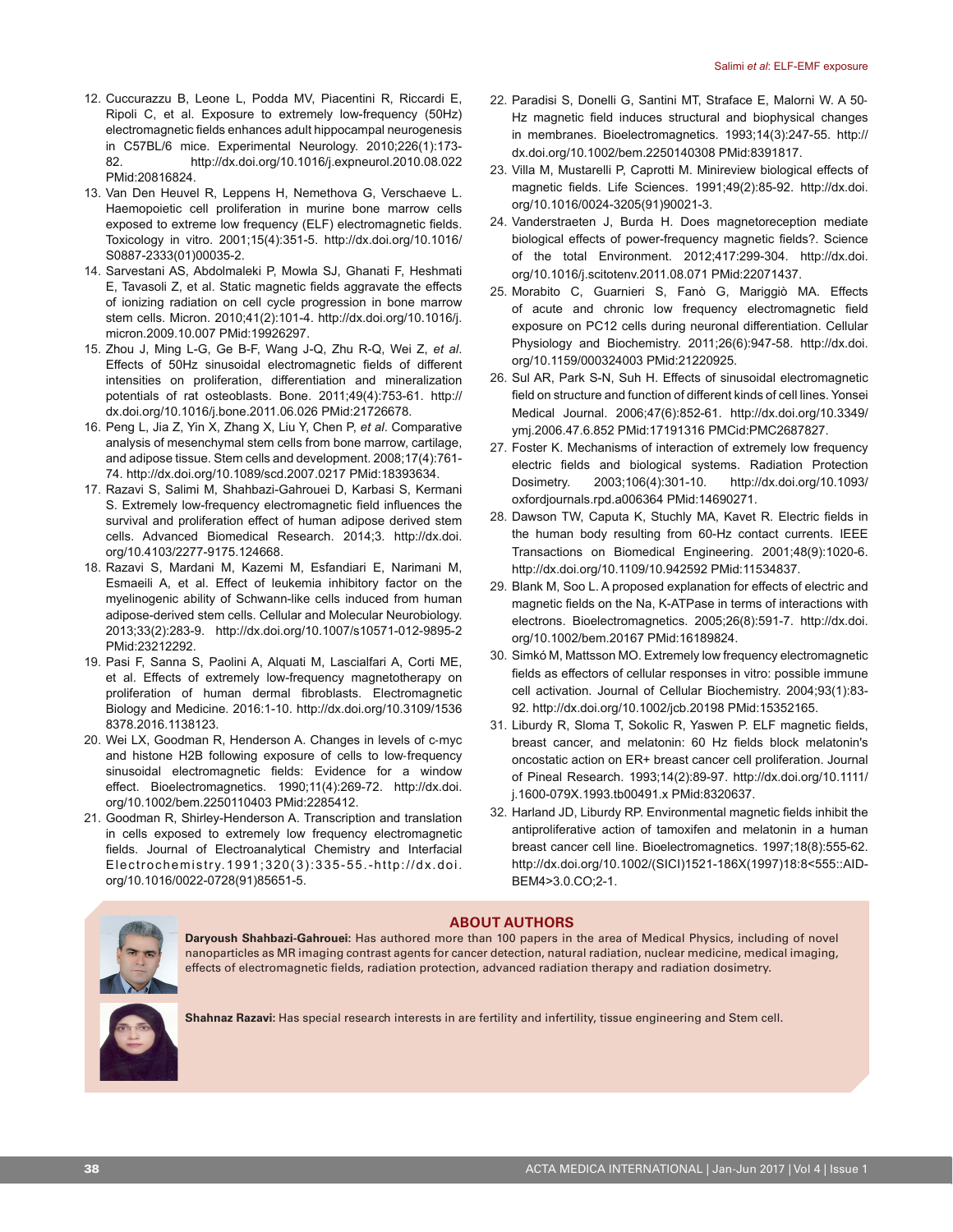- 12. Cuccurazzu B, Leone L, Podda MV, Piacentini R, Riccardi E, Ripoli C, et al. Exposure to extremely low-frequency (50Hz) electromagnetic fields enhances adult hippocampal neurogenesis in C57BL/6 mice. Experimental Neurology. 2010;226(1):173- 82. http://dx.doi.org/10.1016/j.expneurol.2010.08.022 PMid:20816824.
- 13. Van Den Heuvel R, Leppens H, Nemethova G, Verschaeve L. Haemopoietic cell proliferation in murine bone marrow cells exposed to extreme low frequency (ELF) electromagnetic fields. Toxicology in vitro. 2001;15(4):351-5. http://dx.doi.org/10.1016/ S0887-2333(01)00035-2.
- 14. Sarvestani AS, Abdolmaleki P, Mowla SJ, Ghanati F, Heshmati E, Tavasoli Z, et al. Static magnetic fields aggravate the effects of ionizing radiation on cell cycle progression in bone marrow stem cells. Micron. 2010;41(2):101-4. http://dx.doi.org/10.1016/j. micron.2009.10.007 PMid:19926297.
- 15. Zhou J, Ming L-G, Ge B-F, Wang J-Q, Zhu R-Q, Wei Z, *et al*. Effects of 50Hz sinusoidal electromagnetic fields of different intensities on proliferation, differentiation and mineralization potentials of rat osteoblasts. Bone. 2011;49(4):753-61. http:// dx.doi.org/10.1016/j.bone.2011.06.026 PMid:21726678.
- 16. Peng L, Jia Z, Yin X, Zhang X, Liu Y, Chen P, *et al*. Comparative analysis of mesenchymal stem cells from bone marrow, cartilage, and adipose tissue. Stem cells and development. 2008;17(4):761- 74. http://dx.doi.org/10.1089/scd.2007.0217 PMid:18393634.
- 17. Razavi S, Salimi M, Shahbazi-Gahrouei D, Karbasi S, Kermani S. Extremely low-frequency electromagnetic field influences the survival and proliferation effect of human adipose derived stem cells. Advanced Biomedical Research. 2014;3. http://dx.doi. org/10.4103/2277-9175.124668.
- 18. Razavi S, Mardani M, Kazemi M, Esfandiari E, Narimani M, Esmaeili A, et al. Effect of leukemia inhibitory factor on the myelinogenic ability of Schwann-like cells induced from human adipose-derived stem cells. Cellular and Molecular Neurobiology. 2013;33(2):283-9. http://dx.doi.org/10.1007/s10571-012-9895-2 PMid:23212292.
- 19. Pasi F, Sanna S, Paolini A, Alquati M, Lascialfari A, Corti ME, et al. Effects of extremely low-frequency magnetotherapy on proliferation of human dermal fibroblasts. Electromagnetic Biology and Medicine. 2016:1-10. http://dx.doi.org/10.3109/1536 8378.2016.1138123.
- 20. Wei LX, Goodman R, Henderson A. Changes in levels of c‐myc and histone H2B following exposure of cells to low-frequency sinusoidal electromagnetic fields: Evidence for a window effect. Bioelectromagnetics. 1990;11(4):269-72. http://dx.doi. org/10.1002/bem.2250110403 PMid:2285412.
- 21. Goodman R, Shirley-Henderson A. Transcription and translation in cells exposed to extremely low frequency electromagnetic fields. Journal of Electroanalytical Chemistry and Interfacial Electrochemistry.1991;320(3):335-55.-http://dx.doi. org/10.1016/0022-0728(91)85651-5.
- 22. Paradisi S, Donelli G, Santini MT, Straface E, Malorni W. A 50‐ Hz magnetic field induces structural and biophysical changes in membranes. Bioelectromagnetics. 1993;14(3):247-55. http:// dx.doi.org/10.1002/bem.2250140308 PMid:8391817.
- 23. Villa M, Mustarelli P, Caprotti M. Minireview biological effects of magnetic fields. Life Sciences. 1991;49(2):85-92. http://dx.doi. org/10.1016/0024-3205(91)90021-3.
- 24. Vanderstraeten J, Burda H. Does magnetoreception mediate biological effects of power-frequency magnetic fields?. Science of the total Environment. 2012;417:299-304. http://dx.doi. org/10.1016/j.scitotenv.2011.08.071 PMid:22071437.
- 25. Morabito C, Guarnieri S, Fanò G, Mariggiò MA. Effects of acute and chronic low frequency electromagnetic field exposure on PC12 cells during neuronal differentiation. Cellular Physiology and Biochemistry. 2011;26(6):947-58. http://dx.doi. org/10.1159/000324003 PMid:21220925.
- 26. Sul AR, Park S-N, Suh H. Effects of sinusoidal electromagnetic field on structure and function of different kinds of cell lines. Yonsei Medical Journal. 2006;47(6):852-61. http://dx.doi.org/10.3349/ ymj.2006.47.6.852 PMid:17191316 PMCid:PMC2687827.
- 27. Foster K. Mechanisms of interaction of extremely low frequency electric fields and biological systems. Radiation Protection Dosimetry. 2003;106(4):301-10. http://dx.doi.org/10.1093/ oxfordjournals.rpd.a006364 PMid:14690271.
- 28. Dawson TW, Caputa K, Stuchly MA, Kavet R. Electric fields in the human body resulting from 60-Hz contact currents. IEEE Transactions on Biomedical Engineering. 2001;48(9):1020-6. http://dx.doi.org/10.1109/10.942592 PMid:11534837.
- 29. Blank M, Soo L. A proposed explanation for effects of electric and magnetic fields on the Na, K-ATPase in terms of interactions with electrons. Bioelectromagnetics. 2005;26(8):591-7. http://dx.doi. org/10.1002/bem.20167 PMid:16189824.
- 30. Simkó M, Mattsson MO. Extremely low frequency electromagnetic fields as effectors of cellular responses in vitro: possible immune cell activation. Journal of Cellular Biochemistry. 2004;93(1):83- 92. http://dx.doi.org/10.1002/jcb.20198 PMid:15352165.
- 31. Liburdy R, Sloma T, Sokolic R, Yaswen P. ELF magnetic fields, breast cancer, and melatonin: 60 Hz fields block melatonin's oncostatic action on ER+ breast cancer cell proliferation. Journal of Pineal Research. 1993;14(2):89-97. http://dx.doi.org/10.1111/ j.1600-079X.1993.tb00491.x PMid:8320637.
- 32. Harland JD, Liburdy RP. Environmental magnetic fields inhibit the antiproliferative action of tamoxifen and melatonin in a human breast cancer cell line. Bioelectromagnetics. 1997;18(8):555-62. http://dx.doi.org/10.1002/(SICI)1521-186X(1997)18:8<555::AID-BEM4>3.0.CO;2-1.



#### **ABOUT AUTHORS**

**Daryoush Shahbazi-Gahrouei:** Has authored more than 100 papers in the area of Medical Physics, including of novel nanoparticles as MR imaging contrast agents for cancer detection, natural radiation, nuclear medicine, medical imaging, effects of electromagnetic fields, radiation protection, advanced radiation therapy and radiation dosimetry.



**Shahnaz Razavi:** Has special research interests in are fertility and infertility, tissue engineering and Stem cell.